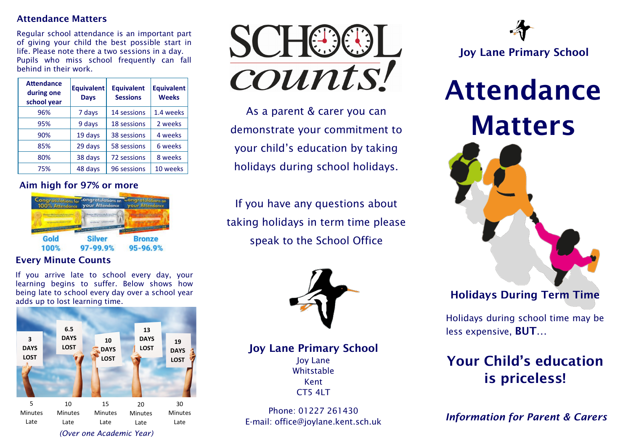#### Attendance Matters

Regular school attendance is an important part of giving your child the best possible start in life. Please note there a two sessions in a day. Pupils who miss school frequently can fall behind in their work.

| <b>Attendance</b><br>during one<br>school year | <b>Equivalent</b><br><b>Days</b> | <b>Equivalent</b><br><b>Sessions</b> | <b>Equivalent</b><br><b>Weeks</b> |
|------------------------------------------------|----------------------------------|--------------------------------------|-----------------------------------|
| 96%                                            | 7 days                           | <b>14 sessions</b>                   | 1.4 weeks                         |
| 95%                                            | 9 days                           | 18 sessions                          | 2 weeks                           |
| 90%                                            | 19 days                          | 38 sessions                          | 4 weeks                           |
| 85%                                            | 29 days                          | 58 sessions                          | 6 weeks                           |
| 80%                                            | 38 days                          | 72 sessions                          | 8 weeks                           |
| 75%                                            | 48 days                          | 96 sessions                          | 10 weeks                          |

# Aim high for 97% or more



# Every Minute Counts

If you arrive late to school every day, your learning begins to suffer. Below shows how being late to school every day over a school year adds up to lost learning time.





As a parent & carer you can demonstrate your commitment to your child's education by taking holidays during school holidays.

If you have any questions about taking holidays in term time please speak to the School Office



Joy Lane Primary School Joy Lane

Whitstable Kent **CT5 4LT** 

Phone: 01227 261430 E-mail: office@joylane.kent.sch.uk



Attendance Matters



# Holidays During Term Time

Holidays during school time may be less expensive, BUT…

# Your Child's education is priceless!

*Information for Parent & Carers*